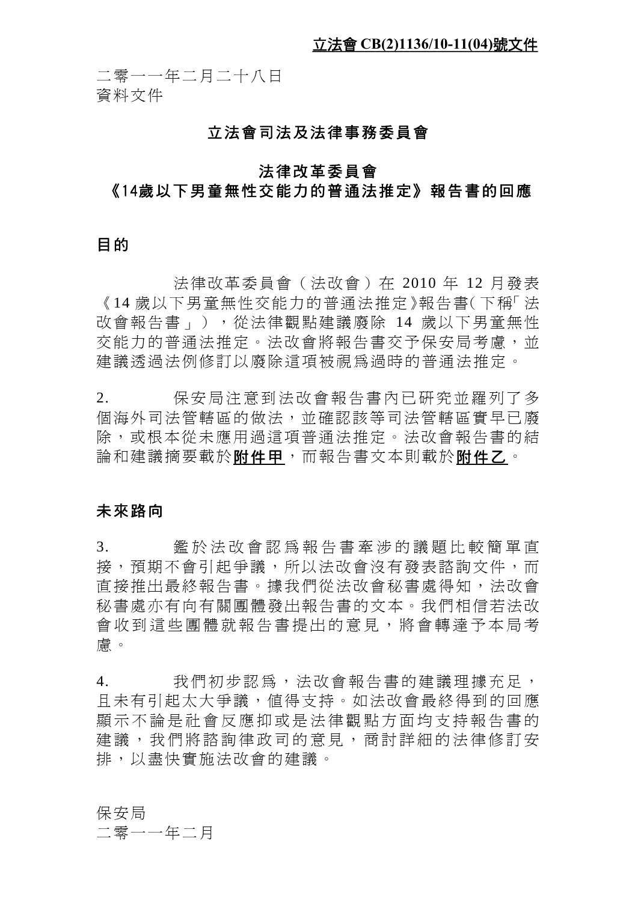二零一一年二月二十八日 資料文件

### 立法會司法及法律事務委員會

# 法律改革委員會 《14歲以下男童無性交能力的普通法推定》報告書的回應

#### 目的

法律改革委員會(法改會)在 2010 年 12 月發表 《14 歳以下男童無性交能力的普涌法推定》報告書(下稱「法 改會報告書」),從法律觀點建議廢除 14 歲以下男童無性 交能力的普通法推定。法改會將報告書交予保安局考慮,並 建議透過法例修訂以廢除這項被視為過時的普通法推定。

2. 保安局注意到法改會報告書內已研究並羅列了多 個海外司法管轄區的做法,並確認該等司法管轄區實早已廢 除,或根本從未應用過這項普通法推定。法改會報告書的結 論和建議摘要載於**附件甲**,而報告書文本則載於附件乙。

#### 未來路向

3. 鑑於法改會認爲報告書牽涉的議題比較簡單直 接,預期不會引起爭議,所以法改會沒有發表諮詢文件,而 直接推出最終報告書。據我們從法改會秘書處得知,法改會 秘書處亦有向有關團體發出報告書的文本。我們相信若法改 會收到這些團體就報告書提出的意見,將會轉達予本局考 慮。

4. 我們初步認為,法改會報告書的建議理據充足, 且未有引起太大爭議,值得支持。如法改會最終得到的回應 顯示不論是社會反應抑或是法律觀點方面均支持報告書的 建議,我們將諮詢律政司的意見,商討詳細的法律修訂安 排,以盡快實施法改會的建議。

保安局

二零一一年二月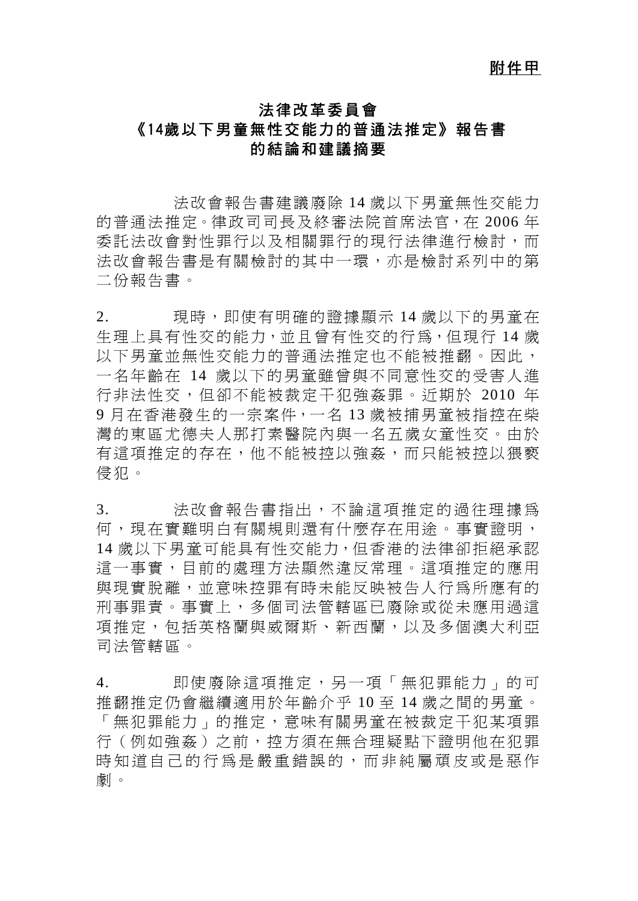#### 附件甲

# 法律改革委員會 《14歲以下男童無性交能力的普通法推定》報告書 的結論和建議摘要

法改會報告書建議廢除 14 歲以下男童無性交能力 的普通法推定。律政司司長及終審法院首席法官,在 2006 年 委託法改會對性罪行以及相關罪行的現行法律進行檢討,而 法改會報告書是有關檢討的其中一環,亦是檢討系列中的第 二份報告書。

2. 現時,即使有明確的證據顯示 14 歳以下的男童在 生理上具有性交的能力,並且曾有性交的行為,但現行 14 歲 以下男童並無性交能力的普通法推定也不能被推翻。因此, 一名年齡在 14 歲以下的男童雖曾與不同意性交的受害人進 行非法性交,但卻不能被裁定干犯強姦罪。近期於 2010 年 9 月在香港發生的一宗案件,一名 13 歲被捕男童被指控在柴 灣的東區尤德夫人那打素醫院內與一名五歲女童性交。由於 有這項推定的存在,他不能被控以強姦,而只能被控以猥褻 侵犯。

3. 法改會報告書指出,不論這項推定的渦往理據為 何,現在實難明白有關規則還有什麼存在用途。事實證明, 14 歲以下男童可能具有性交能力,但香港的法律卻拒絕承認 這一事實,目前的處理方法顯然違反常理。這項推定的應用 與現實脫離,並意味控罪有時未能反映被告人行為所應有的 刑事罪責。事實上,多個司法管轄區已廢除或從未應用過這 項推定,包括英格蘭與威爾斯、新西蘭,以及多個澳大利亞 司法管轄區。

4. 即使廢除這項推定,另一項「無犯罪能力」的可 推翻推定仍會繼續適用於年齡介乎 10 至 14 歲之間的男童。 「無犯罪能力」的推定,意味有關男童在被裁定干犯某項罪 行(例如強姦)之前,控方須在無合理疑點下證明他在犯罪 時知道自己的行為是嚴重錯誤的,而非純屬頑皮或是惡作 劇。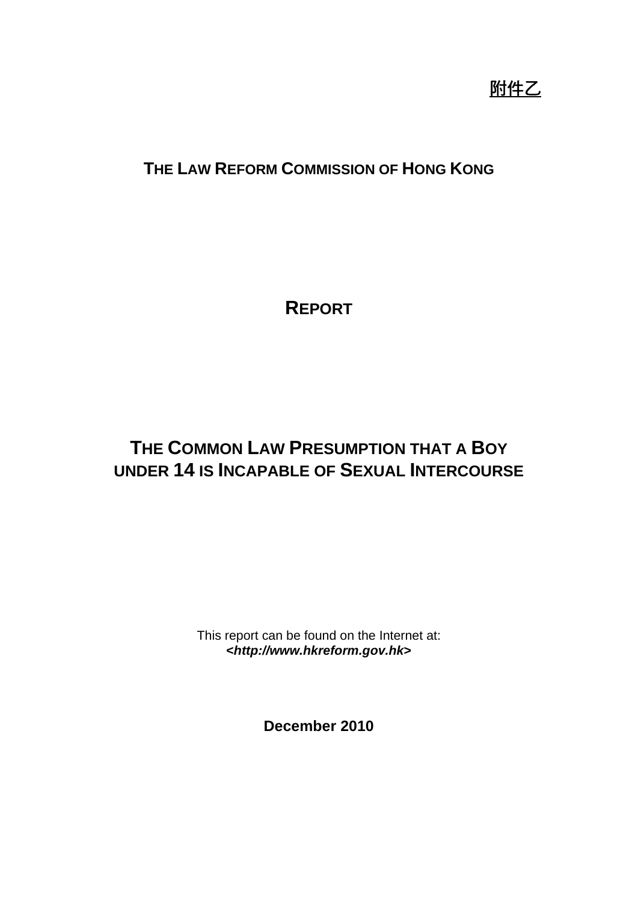附件乙

# **THE LAW REFORM COMMISSION OF HONG KONG**

**REPORT**

# **THE COMMON LAW PRESUMPTION THAT A BOY UNDER 14 IS INCAPABLE OF SEXUAL INTERCOURSE**

This report can be found on the Internet at: **<***http://www.hkreform.gov.hk***>** 

**December 2010**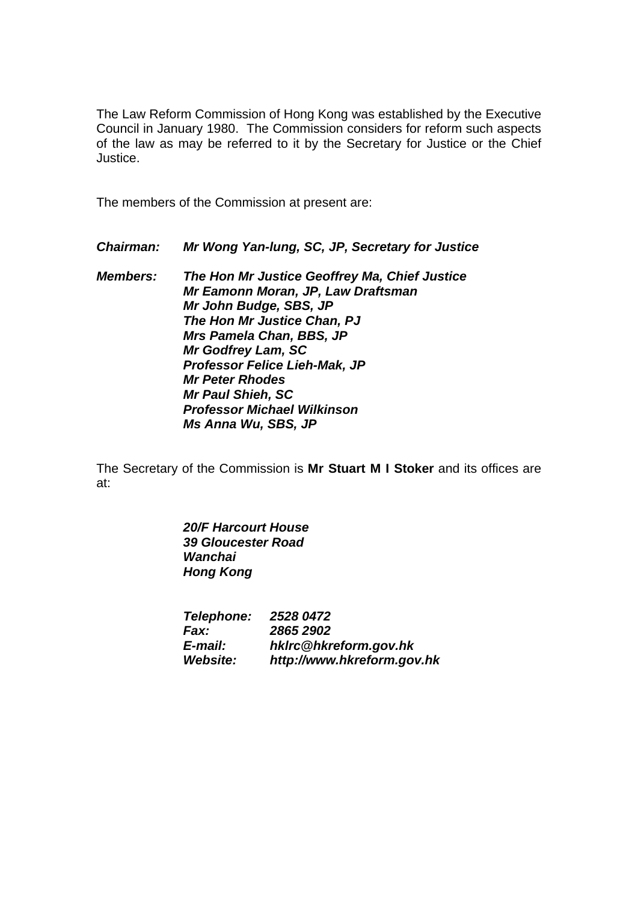The Law Reform Commission of Hong Kong was established by the Executive Council in January 1980. The Commission considers for reform such aspects of the law as may be referred to it by the Secretary for Justice or the Chief Justice.

The members of the Commission at present are:

*Chairman: Mr Wong Yan-lung, SC, JP, Secretary for Justice* 

*Members: The Hon Mr Justice Geoffrey Ma, Chief Justice Mr Eamonn Moran, JP, Law Draftsman Mr John Budge, SBS, JP The Hon Mr Justice Chan, PJ Mrs Pamela Chan, BBS, JP Mr Godfrey Lam, SC Professor Felice Lieh-Mak, JP Mr Peter Rhodes Mr Paul Shieh, SC Professor Michael Wilkinson Ms Anna Wu, SBS, JP* 

The Secretary of the Commission is **Mr Stuart M I Stoker** and its offices are at:

> *20/F Harcourt House 39 Gloucester Road Wanchai Hong Kong*

 *Telephone: 2528 0472 Fax: 2865 2902 E-mail: hklrc@hkreform.gov.hk Website: http://www.hkreform.gov.hk*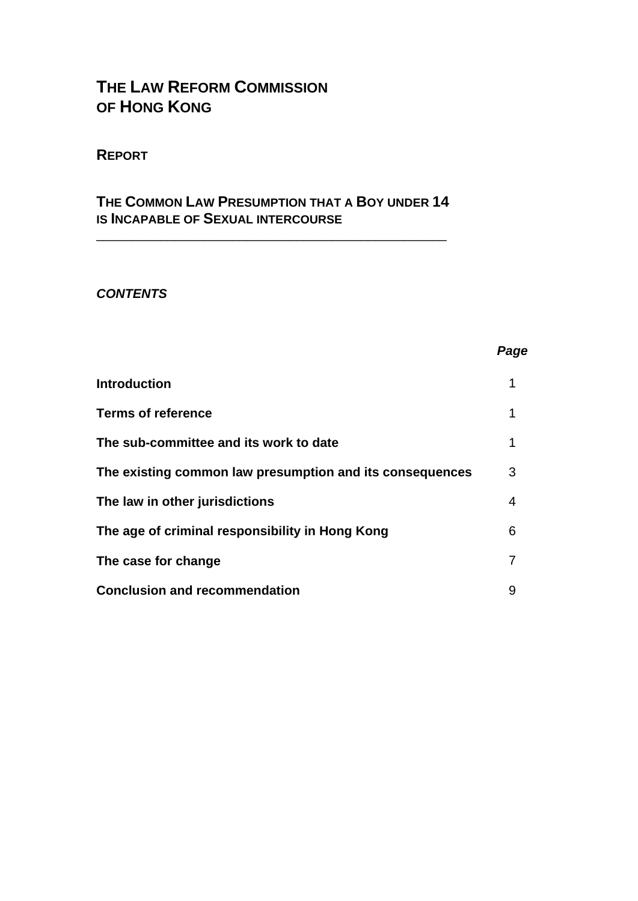# **THE LAW REFORM COMMISSION OF HONG KONG**

### **REPORT**

# **THE COMMON LAW PRESUMPTION THAT A BOY UNDER 14 IS INCAPABLE OF SEXUAL INTERCOURSE**

\_\_\_\_\_\_\_\_\_\_\_\_\_\_\_\_\_\_\_\_\_\_\_\_\_\_\_\_\_\_\_\_\_\_\_\_\_\_\_\_\_\_\_\_\_\_\_\_\_

#### *CONTENTS*

| <b>Introduction</b>                                      |   |
|----------------------------------------------------------|---|
| <b>Terms of reference</b>                                | 1 |
| The sub-committee and its work to date                   | 1 |
| The existing common law presumption and its consequences | 3 |
| The law in other jurisdictions                           | 4 |
| The age of criminal responsibility in Hong Kong          | 6 |
| The case for change                                      |   |
| <b>Conclusion and recommendation</b>                     | 9 |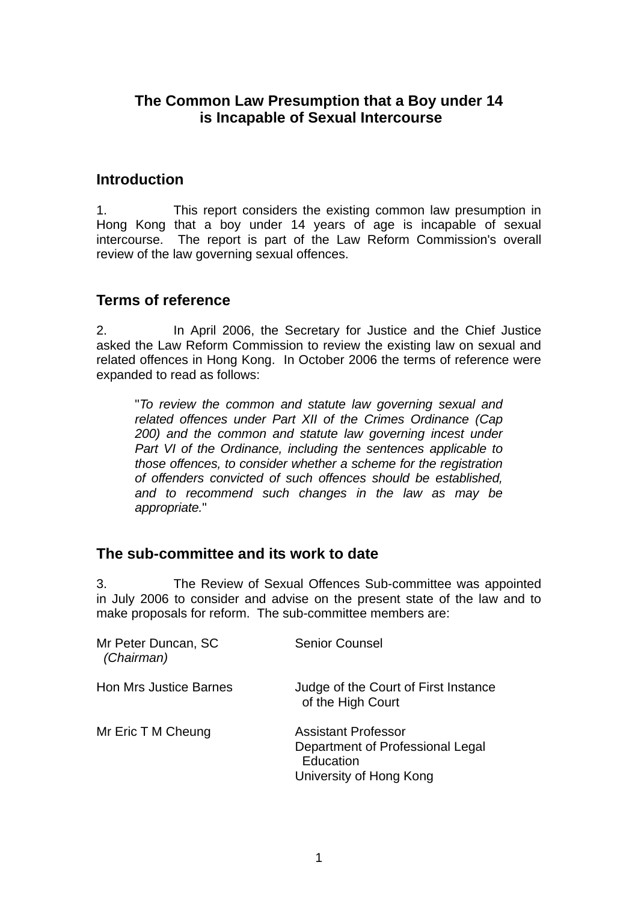# **The Common Law Presumption that a Boy under 14 is Incapable of Sexual Intercourse**

### **Introduction**

1. This report considers the existing common law presumption in Hong Kong that a boy under 14 years of age is incapable of sexual intercourse. The report is part of the Law Reform Commission's overall review of the law governing sexual offences.

# **Terms of reference**

2. In April 2006, the Secretary for Justice and the Chief Justice asked the Law Reform Commission to review the existing law on sexual and related offences in Hong Kong. In October 2006 the terms of reference were expanded to read as follows:

"*To review the common and statute law governing sexual and related offences under Part XII of the Crimes Ordinance (Cap 200) and the common and statute law governing incest under Part VI of the Ordinance, including the sentences applicable to those offences, to consider whether a scheme for the registration of offenders convicted of such offences should be established, and to recommend such changes in the law as may be appropriate.*"

# **The sub-committee and its work to date**

3. The Review of Sexual Offences Sub-committee was appointed in July 2006 to consider and advise on the present state of the law and to make proposals for reform. The sub-committee members are:

| Mr Peter Duncan, SC<br>(Chairman) | <b>Senior Counsel</b>                                                                                  |
|-----------------------------------|--------------------------------------------------------------------------------------------------------|
| <b>Hon Mrs Justice Barnes</b>     | Judge of the Court of First Instance<br>of the High Court                                              |
| Mr Eric T M Cheung                | <b>Assistant Professor</b><br>Department of Professional Legal<br>Education<br>University of Hong Kong |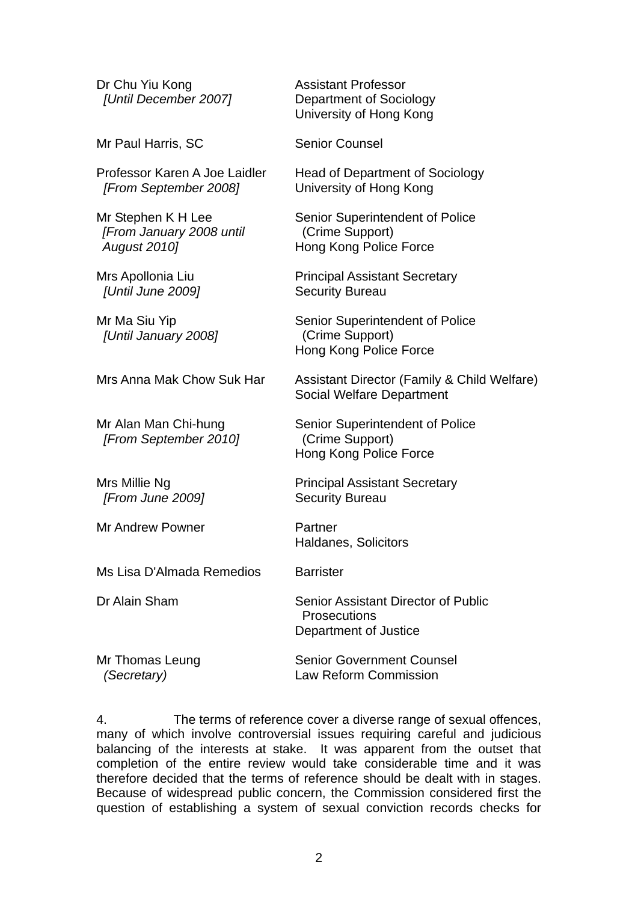Dr Chu Yiu Kong  *[Until December 2007]* 

Mr Paul Harris, SC Senior Counsel

Professor Karen A Joe Laidler  *[From September 2008]*

Mr Stephen K H Lee *[From January 2008 until August 2010]* 

Mrs Apollonia Liu  *[Until June 2009]* 

Mr Ma Siu Yip  *[Until January 2008]* 

Mrs Anna Mak Chow Suk Har Assistant Director (Family & Child Welfare)

Mr Alan Man Chi-hung  *[From September 2010]* 

Mrs Millie Ng  *[From June 2009]* 

Mr Andrew Powner **Partner** 

Ms Lisa D'Almada Remedios Barrister

Dr Alain Sham Senior Assistant Director of Public

Department of Justice Mr Thomas Leung  *(Secretary)*  Senior Government Counsel Law Reform Commission

4. The terms of reference cover a diverse range of sexual offences, many of which involve controversial issues requiring careful and judicious balancing of the interests at stake. It was apparent from the outset that completion of the entire review would take considerable time and it was therefore decided that the terms of reference should be dealt with in stages. Because of widespread public concern, the Commission considered first the question of establishing a system of sexual conviction records checks for

Assistant Professor

Department of Sociology University of Hong Kong

University of Hong Kong

Hong Kong Police Force

Principal Assistant Secretary

Senior Superintendent of Police

(Crime Support)

Security Bureau

(Crime Support)

(Crime Support)

Security Bureau

**Prosecutions** 

Haldanes, Solicitors

Hong Kong Police Force

Principal Assistant Secretary

Hong Kong Police Force

Social Welfare Department

Senior Superintendent of Police

Head of Department of Sociology

Senior Superintendent of Police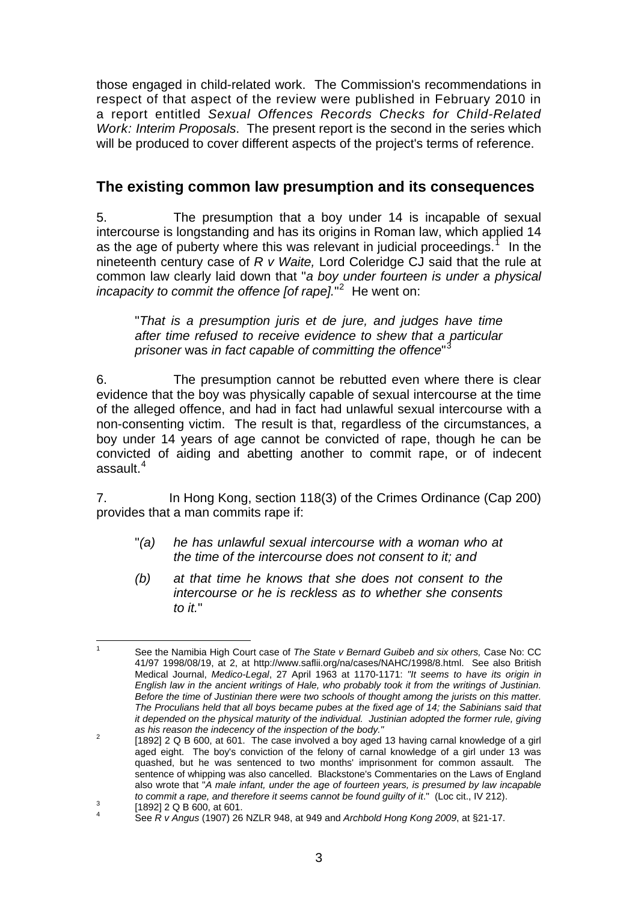<span id="page-7-0"></span>those engaged in child-related work. The Commission's recommendations in respect of that aspect of the review were published in February 2010 in a report entitled *Sexual Offences Records Checks for Child-Related Work: Interim Proposals*. The present report is the second in the series which will be produced to cover different aspects of the project's terms of reference.

# **The existing common law presumption and its consequences**

5. The presumption that a boy under 14 is incapable of sexual intercourse is longstanding and has its origins in Roman law, which applied 14 as the age of puberty where this was relevant in judicial proceedings.<sup>[1](#page-7-0)</sup> In the nineteenth century case of *R v Waite,* Lord Coleridge CJ said that the rule at common law clearly laid down that "*a boy under fourteen is under a physical*  incapacity to commit the offence [of rape].<sup>"[2](#page-7-0)</sup> He went on:

"*That is a presumption juris et de jure, and judges have time after time refused to receive evidence to shew that a particular prisoner* was *in fact capable of committing the offence*" [3](#page-7-0)

6. The presumption cannot be rebutted even where there is clear evidence that the boy was physically capable of sexual intercourse at the time of the alleged offence, and had in fact had unlawful sexual intercourse with a non-consenting victim. The result is that, regardless of the circumstances, a boy under 14 years of age cannot be convicted of rape, though he can be convicted of aiding and abetting another to commit rape, or of indecent assault $4$ 

7. In Hong Kong, section 118(3) of the Crimes Ordinance (Cap 200) provides that a man commits rape if:

- "*(a) he has unlawful sexual intercourse with a woman who at the time of the intercourse does not consent to it; and*
- *(b) at that time he knows that she does not consent to the intercourse or he is reckless as to whether she consents to it.*"

 $\frac{1}{1}$  See the Namibia High Court case of *The State v Bernard Guibeb and six others,* Case No: CC 41/97 1998/08/19, at 2, at http://www.saflii.org/na/cases/NAHC/1998/8.html. See also British Medical Journal, *Medico-Legal*, 27 April 1963 at 1170-1171: *"It seems to have its origin in English law in the ancient writings of Hale, who probably took it from the writings of Justinian. Before the time of Justinian there were two schools of thought among the jurists on this matter. The Proculians held that all boys became pubes at the fixed age of 14; the Sabinians said that it depended on the physical maturity of the individual. Justinian adopted the former rule, giving as his reason the indecency of the inspection of the body."* <sup>2</sup>

 <sup>[1892] 2</sup> Q B 600, at 601. The case involved a boy aged 13 having carnal knowledge of a girl aged eight. The boy's conviction of the felony of carnal knowledge of a girl under 13 was quashed, but he was sentenced to two months' imprisonment for common assault. The sentence of whipping was also cancelled. Blackstone's Commentaries on the Laws of England also wrote that "*A male infant, under the age of fourteen years, is presumed by law incapable to commit a rape, and therefore it seems cannot be found guilty of it.*" (Loc cit., IV 212).

 <sup>[1892] 2</sup> Q B 600, at 601. 4

See *R v Angus* (1907) 26 NZLR 948, at 949 and *Archbold Hong Kong 2009*, at §21-17.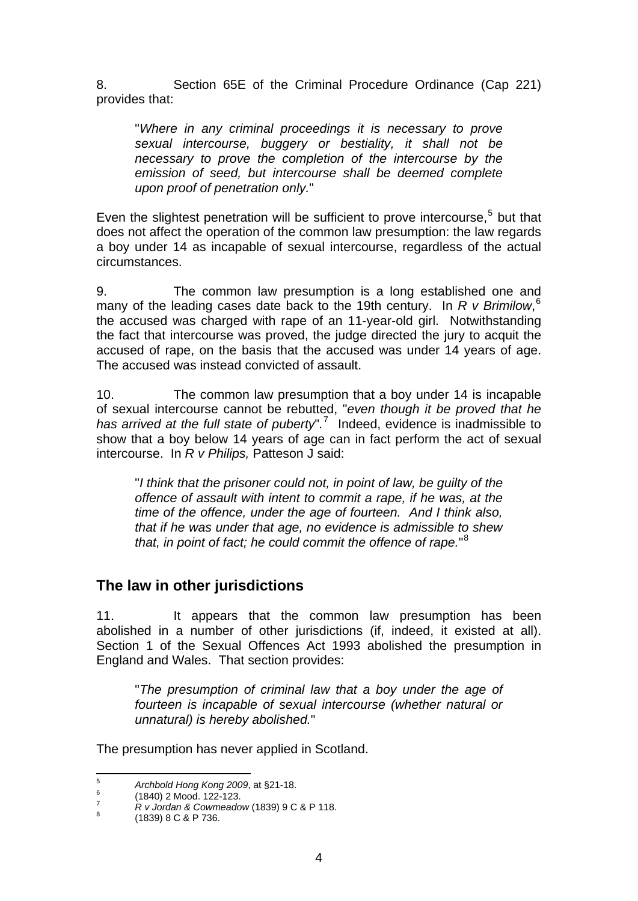<span id="page-8-0"></span>8. Section 65E of the Criminal Procedure Ordinance (Cap 221) provides that:

"*Where in any criminal proceedings it is necessary to prove sexual intercourse, buggery or bestiality, it shall not be necessary to prove the completion of the intercourse by the emission of seed, but intercourse shall be deemed complete upon proof of penetration only.*"

Even the slightest penetration will be sufficient to prove intercourse, $5$  but that does not affect the operation of the common law presumption: the law regards a boy under 14 as incapable of sexual intercourse, regardless of the actual circumstances.

9. The common law presumption is a long established one and many of the leading cases date back to the 19th century. In *R v Brimilow*, [6](#page-8-0) the accused was charged with rape of an 11-year-old girl. Notwithstanding the fact that intercourse was proved, the judge directed the jury to acquit the accused of rape, on the basis that the accused was under 14 years of age. The accused was instead convicted of assault.

10. The common law presumption that a boy under 14 is incapable of sexual intercourse cannot be rebutted, "*even though it be proved that he has arrived at the full state of puberty*"*.* [7](#page-8-0) Indeed, evidence is inadmissible to show that a boy below 14 years of age can in fact perform the act of sexual intercourse. In *R v Philips,* Patteson J said:

"*I think that the prisoner could not, in point of law, be guilty of the offence of assault with intent to commit a rape, if he was, at the time of the offence, under the age of fourteen. And I think also, that if he was under that age, no evidence is admissible to shew that, in point of fact; he could commit the offence of rape.*" [8](#page-8-0)

# **The law in other jurisdictions**

11. It appears that the common law presumption has been abolished in a number of other jurisdictions (if, indeed, it existed at all). Section 1 of the Sexual Offences Act 1993 abolished the presumption in England and Wales. That section provides:

"*The presumption of criminal law that a boy under the age of fourteen is incapable of sexual intercourse (whether natural or unnatural) is hereby abolished.*"

The presumption has never applied in Scotland.

<sup>-&</sup>lt;br>5 *Archbold Hong Kong 2009*, at §21-18. 6

 <sup>(1840) 2</sup> Mood. 122-123. 7

 $R_V$  *Jordan & Cowmeadow* (1839) 9 C & P 118.

 <sup>(1839) 8</sup> C & P 736.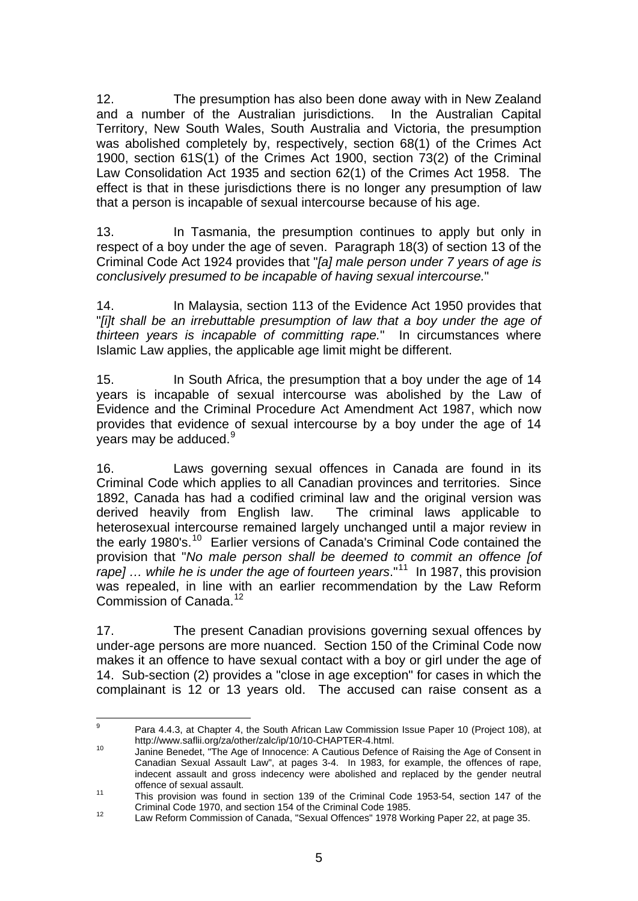<span id="page-9-0"></span>12. The presumption has also been done away with in New Zealand and a number of the Australian jurisdictions. In the Australian Capital Territory, New South Wales, South Australia and Victoria, the presumption was abolished completely by, respectively, section 68(1) of the Crimes Act 1900, section 61S(1) of the Crimes Act 1900, section 73(2) of the Criminal Law Consolidation Act 1935 and section 62(1) of the Crimes Act 1958. The effect is that in these jurisdictions there is no longer any presumption of law that a person is incapable of sexual intercourse because of his age.

13. In Tasmania, the presumption continues to apply but only in respect of a boy under the age of seven. Paragraph 18(3) of section 13 of the Criminal Code Act 1924 provides that "*[a] male person under 7 years of age is conclusively presumed to be incapable of having sexual intercourse.*"

14. In Malaysia, section 113 of the Evidence Act 1950 provides that "*[i]t shall be an irrebuttable presumption of law that a boy under the age of thirteen years is incapable of committing rape.*" In circumstances where Islamic Law applies, the applicable age limit might be different.

15. In South Africa, the presumption that a boy under the age of 14 years is incapable of sexual intercourse was abolished by the Law of Evidence and the Criminal Procedure Act Amendment Act 1987, which now provides that evidence of sexual intercourse by a boy under the age of 14 years may be adduced. $9$ 

16. Laws governing sexual offences in Canada are found in its Criminal Code which applies to all Canadian provinces and territories. Since 1892, Canada has had a codified criminal law and the original version was derived heavily from English law. The criminal laws applicable to heterosexual intercourse remained largely unchanged until a major review in the early 1980's.<sup>[10](#page-9-0)</sup> Earlier versions of Canada's Criminal Code contained the provision that "*No male person shall be deemed to commit an offence [of*  rape] ... while he is under the age of fourteen years."<sup>[11](#page-9-0)</sup> In 1987, this provision was repealed, in line with an earlier recommendation by the Law Reform Commission of Canada.<sup>[12](#page-9-0)</sup>

17. The present Canadian provisions governing sexual offences by under-age persons are more nuanced. Section 150 of the Criminal Code now makes it an offence to have sexual contact with a boy or girl under the age of 14. Sub-section (2) provides a "close in age exception" for cases in which the complainant is 12 or 13 years old. The accused can raise consent as a

<sup>–&</sup>lt;br>9 Para 4.4.3, at Chapter 4, the South African Law Commission Issue Paper 10 (Project 108), at http://www.saflii.org/za/other/zalc/ip/10/10-CHAPTER-4.html.<br>10 Janine Benedet, "The Age of Innocence: A Cautious Defence of Raising the Age of Consent in

Canadian Sexual Assault Law", at pages 3-4. In 1983, for example, the offences of rape, indecent assault and gross indecency were abolished and replaced by the gender neutral offence of sexual assault.<br>
11 This provision was found in section 139 of the Criminal Code 1953-54, section 147 of the

Criminal Code 1970, and section 154 of the Criminal Code 1985.<br>12 Law Reform Commission of Canada, "Sexual Offences" 1978 Working Paper 22, at page 35.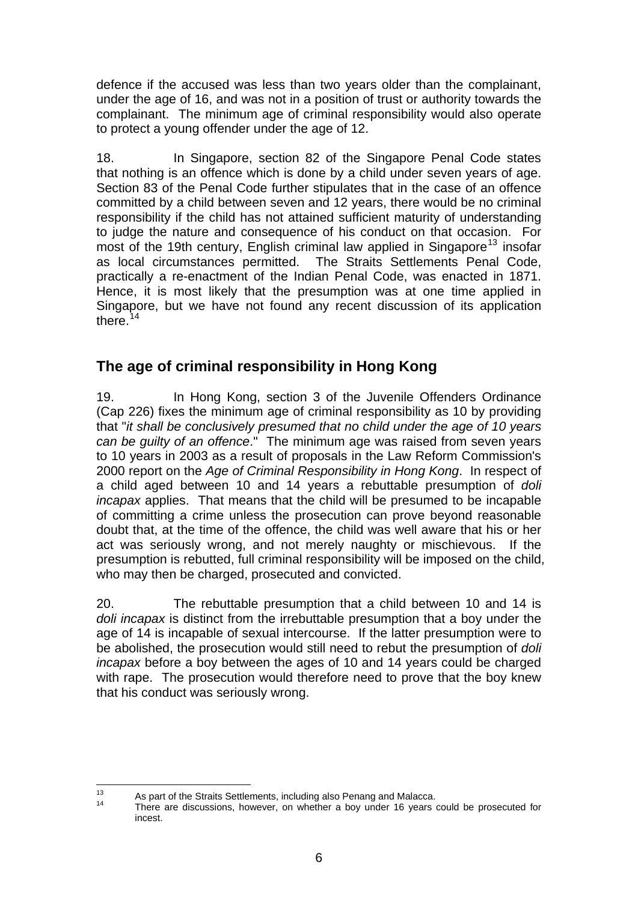<span id="page-10-0"></span>defence if the accused was less than two years older than the complainant, under the age of 16, and was not in a position of trust or authority towards the complainant. The minimum age of criminal responsibility would also operate to protect a young offender under the age of 12.

18. In Singapore, section 82 of the Singapore Penal Code states that nothing is an offence which is done by a child under seven years of age. Section 83 of the Penal Code further stipulates that in the case of an offence committed by a child between seven and 12 years, there would be no criminal responsibility if the child has not attained sufficient maturity of understanding to judge the nature and consequence of his conduct on that occasion. For most of the 19th century, English criminal law applied in Singapore<sup>[13](#page-10-0)</sup> insofar as local circumstances permitted. The Straits Settlements Penal Code, practically a re-enactment of the Indian Penal Code, was enacted in 1871. Hence, it is most likely that the presumption was at one time applied in Singapore, but we have not found any recent discussion of its application there. $14$ 

# **The age of criminal responsibility in Hong Kong**

19. In Hong Kong, section 3 of the Juvenile Offenders Ordinance (Cap 226) fixes the minimum age of criminal responsibility as 10 by providing that "*it shall be conclusively presumed that no child under the age of 10 years can be guilty of an offence*." The minimum age was raised from seven years to 10 years in 2003 as a result of proposals in the Law Reform Commission's 2000 report on the *Age of Criminal Responsibility in Hong Kong*. In respect of a child aged between 10 and 14 years a rebuttable presumption of *doli incapax* applies. That means that the child will be presumed to be incapable of committing a crime unless the prosecution can prove beyond reasonable doubt that, at the time of the offence, the child was well aware that his or her act was seriously wrong, and not merely naughty or mischievous. If the presumption is rebutted, full criminal responsibility will be imposed on the child, who may then be charged, prosecuted and convicted.

20. The rebuttable presumption that a child between 10 and 14 is *doli incapax* is distinct from the irrebuttable presumption that a boy under the age of 14 is incapable of sexual intercourse. If the latter presumption were to be abolished, the prosecution would still need to rebut the presumption of *doli incapax* before a boy between the ages of 10 and 14 years could be charged with rape. The prosecution would therefore need to prove that the boy knew that his conduct was seriously wrong.

 $13$ 

 $13$  As part of the Straits Settlements, including also Penang and Malacca.<br> $14$  There are discussions, however, on whether a boy under 16 years could be prosecuted for incest.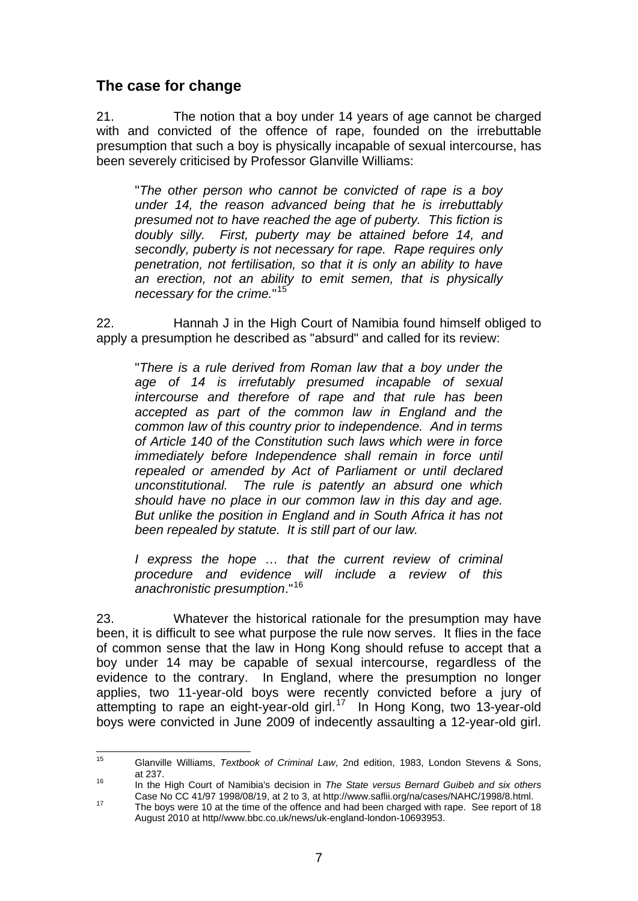# <span id="page-11-0"></span>**The case for change**

21. The notion that a boy under 14 years of age cannot be charged with and convicted of the offence of rape, founded on the irrebuttable presumption that such a boy is physically incapable of sexual intercourse, has been severely criticised by Professor Glanville Williams:

"*The other person who cannot be convicted of rape is a boy under 14, the reason advanced being that he is irrebuttably presumed not to have reached the age of puberty. This fiction is doubly silly. First, puberty may be attained before 14, and secondly, puberty is not necessary for rape. Rape requires only penetration, not fertilisation, so that it is only an ability to have an erection, not an ability to emit semen, that is physically necessary for the crime.*" [15](#page-11-0)

22. Hannah J in the High Court of Namibia found himself obliged to apply a presumption he described as "absurd" and called for its review:

"*There is a rule derived from Roman law that a boy under the age of 14 is irrefutably presumed incapable of sexual intercourse and therefore of rape and that rule has been accepted as part of the common law in England and the common law of this country prior to independence. And in terms of Article 140 of the Constitution such laws which were in force immediately before Independence shall remain in force until repealed or amended by Act of Parliament or until declared unconstitutional. The rule is patently an absurd one which should have no place in our common law in this day and age. But unlike the position in England and in South Africa it has not been repealed by statute. It is still part of our law.* 

*I express the hope … that the current review of criminal procedure and evidence will include a review of this anachronistic presumption*."[16](#page-11-0)

23. Whatever the historical rationale for the presumption may have been, it is difficult to see what purpose the rule now serves. It flies in the face of common sense that the law in Hong Kong should refuse to accept that a boy under 14 may be capable of sexual intercourse, regardless of the evidence to the contrary. In England, where the presumption no longer applies, two 11-year-old boys were recently convicted before a jury of attempting to rape an eight-year-old girl.<sup>[17](#page-11-0)</sup> In Hong Kong, two 13-year-old boys were convicted in June 2009 of indecently assaulting a 12-year-old girl.

<sup>15</sup> 15 Glanville Williams, *Textbook of Criminal Law*, 2nd edition, 1983, London Stevens & Sons,

at 237. 16 In the High Court of Namibia's decision in *The State versus Bernard Guibeb and six others*

The boys were 10 at the time of the offence and had been charged with rape. See report of 18 August 2010 at http//www.bbc.co.uk/news/uk-england-london-10693953.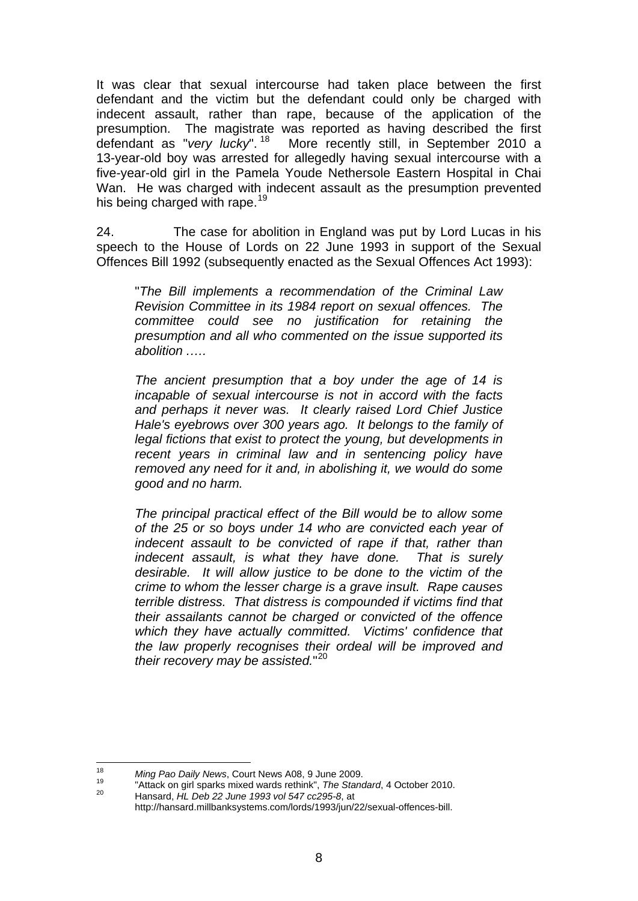<span id="page-12-0"></span>It was clear that sexual intercourse had taken place between the first defendant and the victim but the defendant could only be charged with indecent assault, rather than rape, because of the application of the presumption. The magistrate was reported as having described the first defendant as "very lucky".<sup>18</sup> More recently still, in September 2010 a More recently still, in September 2010 a 13-year-old boy was arrested for allegedly having sexual intercourse with a five-year-old girl in the Pamela Youde Nethersole Eastern Hospital in Chai Wan. He was charged with indecent assault as the presumption prevented his being charged with rape.<sup>[19](#page-12-0)</sup>

24. The case for abolition in England was put by Lord Lucas in his speech to the House of Lords on 22 June 1993 in support of the Sexual Offences Bill 1992 (subsequently enacted as the Sexual Offences Act 1993):

"*The Bill implements a recommendation of the Criminal Law Revision Committee in its 1984 report on sexual offences. The committee could see no justification for retaining the presumption and all who commented on the issue supported its abolition .….* 

*The ancient presumption that a boy under the age of 14 is incapable of sexual intercourse is not in accord with the facts and perhaps it never was. It clearly raised Lord Chief Justice Hale's eyebrows over 300 years ago. It belongs to the family of legal fictions that exist to protect the young, but developments in recent years in criminal law and in sentencing policy have removed any need for it and, in abolishing it, we would do some good and no harm.* 

*The principal practical effect of the Bill would be to allow some of the 25 or so boys under 14 who are convicted each year of indecent assault to be convicted of rape if that, rather than indecent assault, is what they have done. That is surely desirable. It will allow justice to be done to the victim of the crime to whom the lesser charge is a grave insult. Rape causes terrible distress. That distress is compounded if victims find that their assailants cannot be charged or convicted of the offence which they have actually committed. Victims' confidence that the law properly recognises their ordeal will be improved and their recovery may be assisted.*" [20](#page-12-0)

<sup>18</sup> 

<sup>&</sup>lt;sup>18</sup> Ming Pao Daily News, Court News A08, 9 June 2009.<br><sup>19</sup> "Attack on girl sparks mixed wards rethink", *The Standard*, 4 October 2010.<br><sup>20</sup> Hansard, *HL Deb 22 June 1993 vol 547 cc295-8*, at

http://hansard.millbanksystems.com/lords/1993/jun/22/sexual-offences-bill.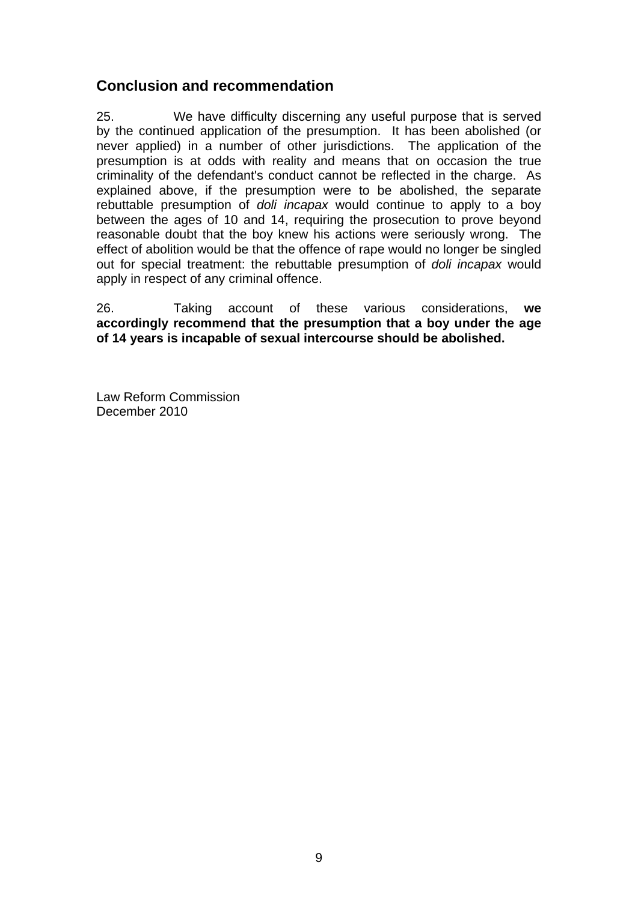# **Conclusion and recommendation**

25. We have difficulty discerning any useful purpose that is served by the continued application of the presumption. It has been abolished (or never applied) in a number of other jurisdictions. The application of the presumption is at odds with reality and means that on occasion the true criminality of the defendant's conduct cannot be reflected in the charge. As explained above, if the presumption were to be abolished, the separate rebuttable presumption of *doli incapax* would continue to apply to a boy between the ages of 10 and 14, requiring the prosecution to prove beyond reasonable doubt that the boy knew his actions were seriously wrong. The effect of abolition would be that the offence of rape would no longer be singled out for special treatment: the rebuttable presumption of *doli incapax* would apply in respect of any criminal offence.

26. Taking account of these various considerations, **we accordingly recommend that the presumption that a boy under the age of 14 years is incapable of sexual intercourse should be abolished.** 

Law Reform Commission December 2010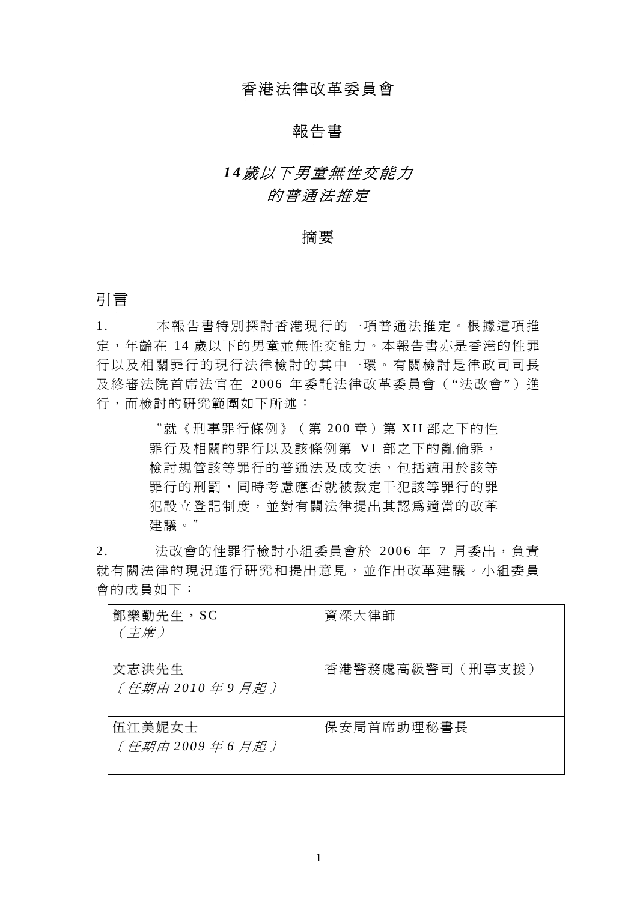### 香港法律改革委員會

#### 報告書

# *1 4*歲以下男童無性交能力 的普通法推定

#### 摘要

#### 引言

1. 本報告書特別探討香港現行的一項普通法推定。根據這項推 定,年齡在 14 歳以下的男童並無性交能力。本報告書亦是香港的性罪 行以及相關罪行的現行法律檢討的其中一環。有關檢討是律政司司長 及終審法院首席法官在 2006 年委託法律改革委員會("法改會") 進 行,而檢討的研究範圍如下所述:

> "就《刑事罪行條例》(第 200 章)第 XII 部之下的性 罪行及相關的罪行以及該條例第 VI 部之下的亂倫罪, 檢討規管該等罪行的普通法及成文法,包括適用於該等 罪行的刑罰,同時考慮應否就被裁定干犯該等罪行的罪 犯設立登記制度,並對有關法律提出其認為適當的改革 建議。"

2. 法改會的性罪行檢討小組委員會於 2006年 7 月委出,負責 就有關法律的現況進行研究和提出意見,並作出改革建議。小組委員 會的成員如下:

| 鄧樂勤先生, SC<br>(主席)         | 資深大律師           |
|---------------------------|-----------------|
| 文志洪先生<br>〔任期由 2010 年9 月起〕 | 香港警務處高級警司(刑事支援) |
| 伍江美妮女士<br>〔任期由 2009年6月起〕  | 保安局首席助理秘書長      |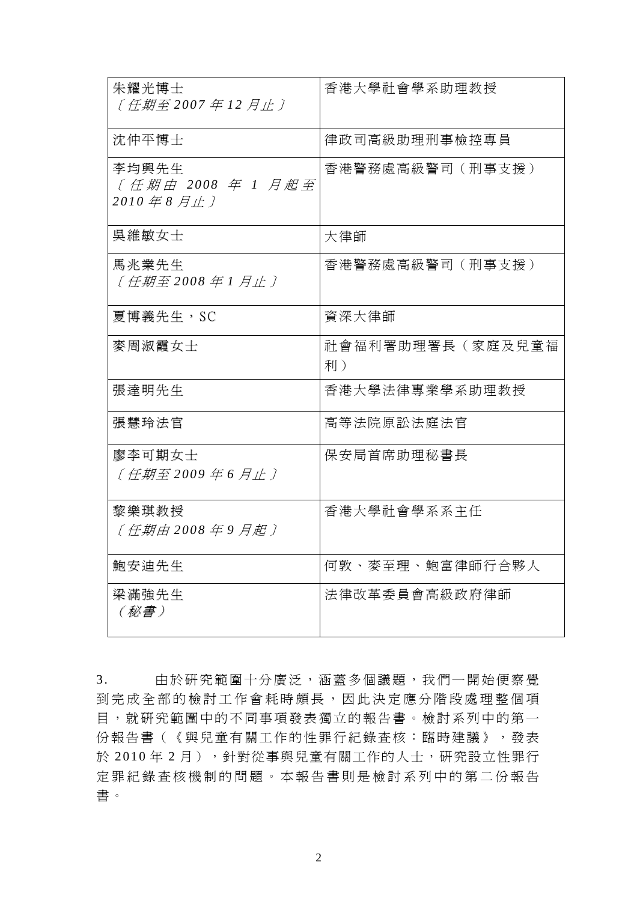| 朱耀光博士<br>〔任期至 2007年12月止〕                | 香港大學社會學系助理教授           |
|-----------------------------------------|------------------------|
| 沈仲平博士                                   | 律政司高級助理刑事檢控專員          |
| 李均興先生<br>〔任期由 2008 年 1 月起至<br>2010年8月止〕 | 香港警務處高級警司 (刑事支援)       |
| 吳維敏女士                                   | 大律師                    |
| 馬兆業先生<br>〔任期至 2008 年 1 月止〕              | 香港警務處高級警司(刑事支援)        |
| 夏博義先生,SC                                | 資深大律師                  |
| 麥周淑霞女士                                  | 社會福利署助理署長(家庭及兒童福<br>利) |
| 張達明先生                                   | 香港大學法律專業學系助理教授         |
| 張慧玲法官                                   | 高等法院原訟法庭法官             |
| 廖李可期女士<br>〔任期至 2009 年 6 月止〕             | 保安局首席助理秘書長             |
| 黎樂琪教授<br>〔任期由 2008年9月起〕                 | 香港大學社會學系系主任            |
| 鮑安迪先生                                   | 何敦、麥至理、鮑富律師行合夥人        |
| 梁滿強先生<br>(秘書)                           | 法律改革委員會高級政府律師          |

3. 由於研究範圍十分廣泛,涵蓋多個議題,我們一開始便察覺 到完成全部的檢討工作會耗時頗長,因此決定應分階段處理整個項 目,就研究範圍中的不同事項發表獨立的報告書。檢討系列中的第一 份報告書(《與兒童有關工作的性罪行紀錄查核:臨時建議》,發表 於 2010年2月),針對從事與兒童有關工作的人士,研究設立性罪行 定罪紀錄查核機制的問題。本報告書則是檢討系列中的第二份報告 書。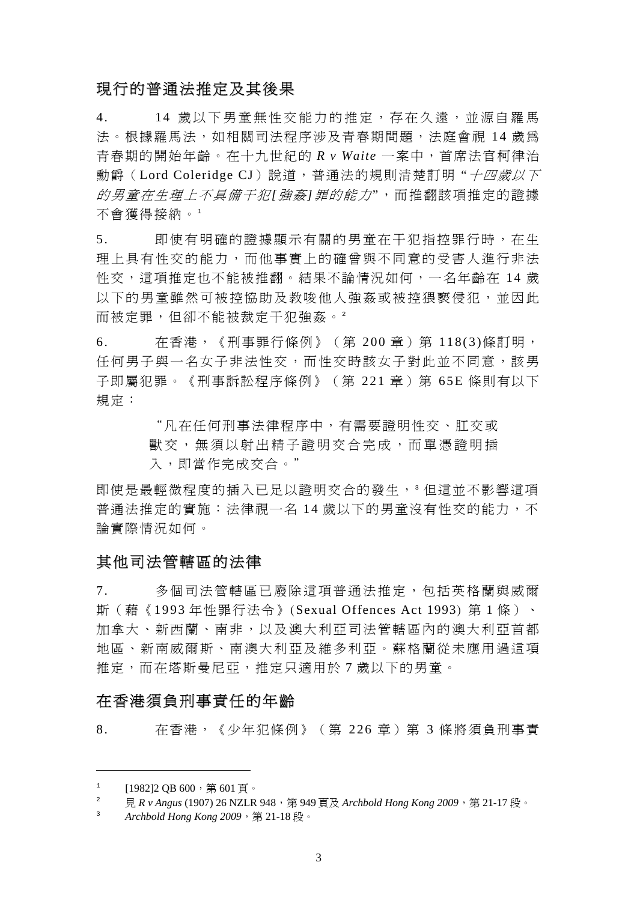### 現行的普通法推定及其後果

4. 14 歲以下男童無性交能力的推定,存在久遠,並源自羅馬 法。根據羅馬法,如相關司法程序涉及青春期問題,法庭會視 14 歳為 青春期的開始年齡。在十九世紀的 *R v Waite* 一案中,首席法官柯律治 動爵(Lord Coleridge CJ)說道,普通法的規則清楚訂明"十四歲以下 的男童在生理上不具備干犯*[*強 姦*]*罪的能力",而推翻該項推定的證據 不會獲得接納。<sup>1</sup>

5. 即使有明確的證據顯示有關的男童在干犯指控罪行時, 在生 理上具有性交的能力,而他事實上的確曾與不同意的受害人進行非法 性交,這項推定也不能被推翻。結果不論情況如何,一名年齡在 14 歳 以下的男童雖然可被控協助及教唆他人強姦或被控猥褻侵犯,並因此 而被定罪,但卻不能被裁定干犯強姦。<sup>2</sup>

6. 在香港,《刑事罪行條例》(第 200 章)第 118(3)條訂明, 任何男子與一名女子非法性交,而性交時該女子對此並不同意,該男 子即屬犯罪。《刑事訴訟程序條例》(第 221 章) 第 65E 條則有以下 規定:

> "凡在任何刑事法律程序中,有需要證明性交、肛交或 獸交,無須以射出精子證明交合完成,而單憑證明插 入,即當作完成交合。"

即使是最輕微程度的插入已足以證明交合的發生,<sup>3</sup> 但這並不影響這項 普通法推定的實施:法律視一名 14 歳以下的男童沒有性交的能力,不 論實際情況如何。

#### 其他司法管轄區的法律

7. 多個司法管轄區已廢除這項普通法推定,包括英格蘭與威爾 斯(藉《1993 年性罪行法令》(Sexual Offences Act 1993) 第 1 條)、 加拿大、新西蘭、南非,以及澳大利亞司法管轄區內的澳大利亞首都 地區、新南威爾斯、南澳大利亞及維多利亞。蘇格蘭從未應用過這項 推定,而在塔斯曼尼亞,推定只適用於 7 歲以下的男童。

#### 在香港須負刑事責任的年齡

8. 无香港,《少年犯條例》(第 226 章) 第 3 條將須負刑事責

l

<sup>1</sup> [1982]2 QB 600,第601頁。

 $\overline{2}$ 見 *R v Angus* (1907) 26 NZLR 948,第 949 頁及 *Archbold Hong Kong 2009*,第 21-17 段。

<sup>3</sup> *Archbold Hong Kong 2009*,第 21-18 段。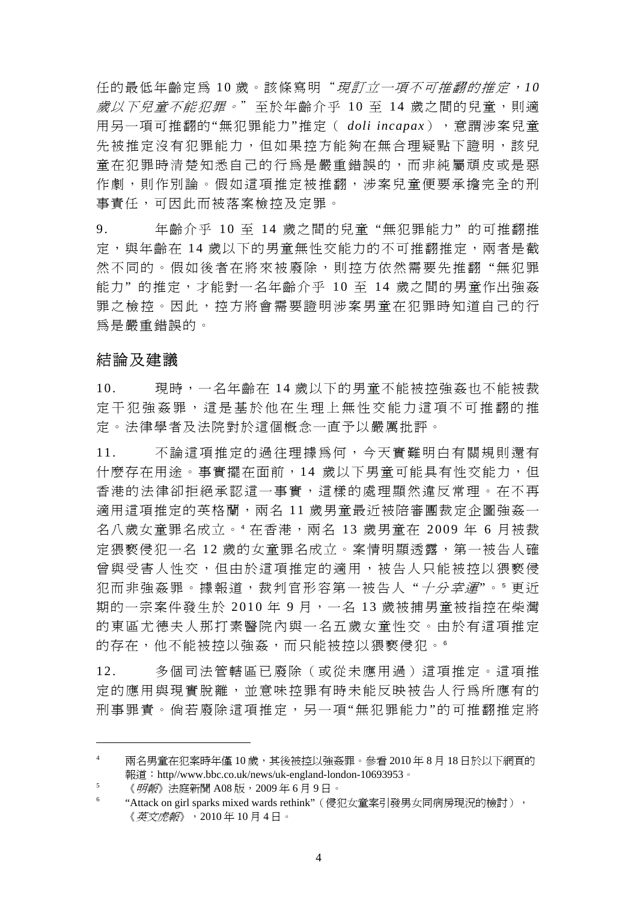任的最低年齡定為 10 歳。該條寫明"*現訂立一項不可推翻的推定,10* 歲以下兒童不能犯罪。"至於年齡介平 10 至 14 歲之間的兒童,則適 用另一項可推翻的"無犯罪能力"推定( *doli incapax*),意謂涉案兒童 先被推定沒有犯罪能力,但如果控方能夠在無合理疑點下證明,該兒 童在犯罪時清楚知悉自己的行為是嚴重錯誤的,而非純屬頑皮或是惡 作劇,則作別論。假如這項推定被推翻,涉案兒童便要承擔完全的刑 事責任,可因此而被落案檢控及定罪。

9. 年齡介乎 10 至 14 歳之間的兒童"無犯罪能力"的可推翻推 定, 與年齡在 14 歲以下的男童無性交能力的不可推翻推定, 兩者是截 然不同的。假如後者在將來被廢除,則控方依然需要先推翻"無犯罪 能力"的推定,才能對一名年齡介乎 10 至 14 歲之間的男童作出強姦 罪之檢控。因此,控方將會需要證明涉案男童在犯罪時知道自己的行 為是嚴重錯誤的。

#### 結論及建議

l

10. 現時,一名年齡在 14 歲以下的男童不能被控強姦也不能被裁 定干犯強姦罪,這是基於他在生理上無性交能力這項不可推翻的推 定。法律學者及法院對於這個概念一直予以嚴厲批評。

11. 不論這項推定的過往理據為何,今天實難明白有關規則還有 什麼存在用途。事實擺在面前,14 歲以下男童可能具有性交能力,但 香港的法律卻拒絕承認這一事實,這樣的處理顯然違反常理。在不再 適用這項推定的英格蘭,兩名 11 歲男童最近被陪審團裁定企圖強姦一 名八歲女童罪名成立。" 在香港,兩名 13 歲男童在 2009 年 6 月被裁 定猥褻侵犯一名 12 歲的女童罪名成立。案情明顯透露,第一被告人確 曾與受害人性交,但由於這項推定的適用,被告人只能被控以猥褻侵 犯而非強姦罪。據報道,裁判官形容第一被告人"*十分幸運*"。 更近 期的一宗案件發生於 2010年9月,一名13歲被捕男童被指控在柴灣 的東區尤德夫人那打素醫院內與一名五歲女童性交。由於有這項推定 的存在,他不能被控以強姦,而只能被控以猥褻侵犯。6

12. 多個司法管轄區已廢除(或從未應用過)這項推定。這項推 定的應用與現實脫離,並意味控罪有時未能反映被告人行為所應有的 刑事罪責。倘若廢除這項推定,另一項"無犯罪能力"的可推翻推定將

<sup>4</sup> 兩名男童在犯案時年僅 10 歲,其後被控以強姦罪。參看 2010 年 8 月 18 日於以下網頁的 報道: http//www.bbc.co.uk/news/uk-england-london-10693953。

<sup>5</sup> 《*明報*》法庭新聞 A08 版,2009年6月9日。

<sup>6</sup> "Attack on girl sparks mixed wards rethink"(侵犯女童案引發男女同病房現況的檢討), 《英文虎報》,2010 年 10 月 4 日。